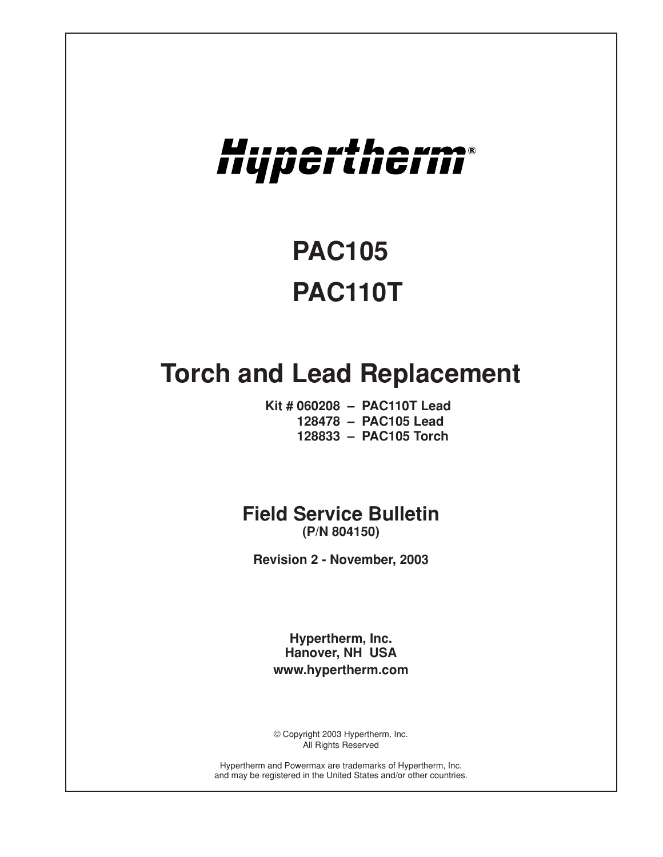# Hupertherm®

# **PAC105 PAC110T**

# **Torch and Lead Replacement**

**Kit # 060208 – PAC110T Lead 128478 – PAC105 Lead 128833 – PAC105 Torch**

# **Field Service Bulletin (P/N 804150)**

**Revision 2 - November, 2003**

**Hypertherm, Inc. Hanover, NH USA www.hypertherm.com**

© Copyright 2003 Hypertherm, Inc. All Rights Reserved

Hypertherm and Powermax are trademarks of Hypertherm, Inc. and may be registered in the United States and/or other countries.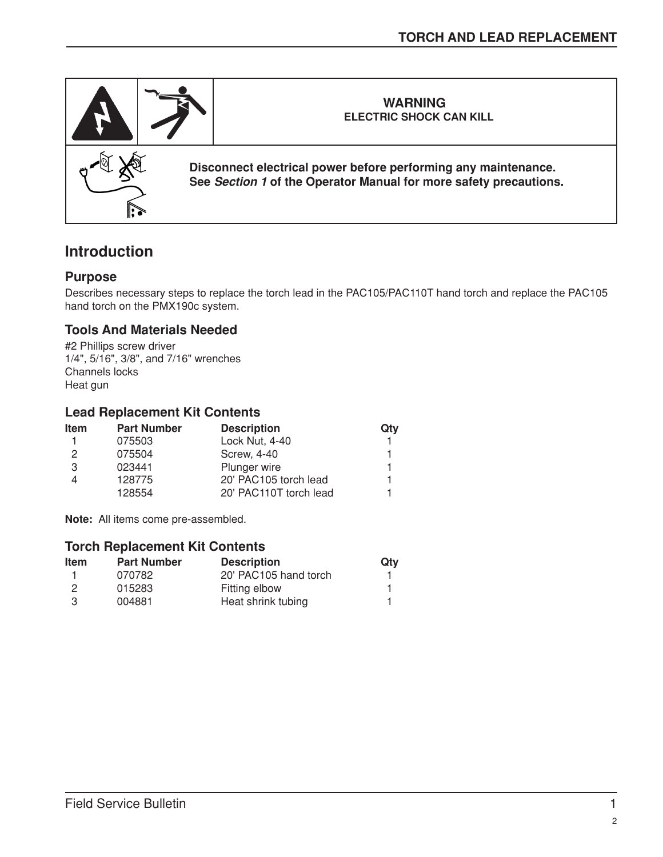

# **Introduction**

# **Purpose**

Describes necessary steps to replace the torch lead in the PAC105/PAC110T hand torch and replace the PAC105 hand torch on the PMX190c system.

# **Tools And Materials Needed**

#2 Phillips screw driver 1/4", 5/16", 3/8", and 7/16" wrenches Channels locks Heat gun

# **Lead Replacement Kit Contents**

| <b>Item</b>   | <b>Part Number</b> | <b>Description</b>     | Qtv |
|---------------|--------------------|------------------------|-----|
|               | 075503             | Lock Nut, 4-40         |     |
| $\mathcal{P}$ | 075504             | <b>Screw, 4-40</b>     |     |
| 3             | 023441             | Plunger wire           |     |
|               | 128775             | 20' PAC105 torch lead  |     |
|               | 128554             | 20' PAC110T torch lead |     |

**Note:** All items come pre-assembled.

#### **Torch Replacement Kit Contents**

| <b>Item</b> | <b>Part Number</b> | <b>Description</b>    | Qty |
|-------------|--------------------|-----------------------|-----|
|             | 070782             | 20' PAC105 hand torch |     |
| 2           | 015283             | Fitting elbow         |     |
| -3          | 004881             | Heat shrink tubing    |     |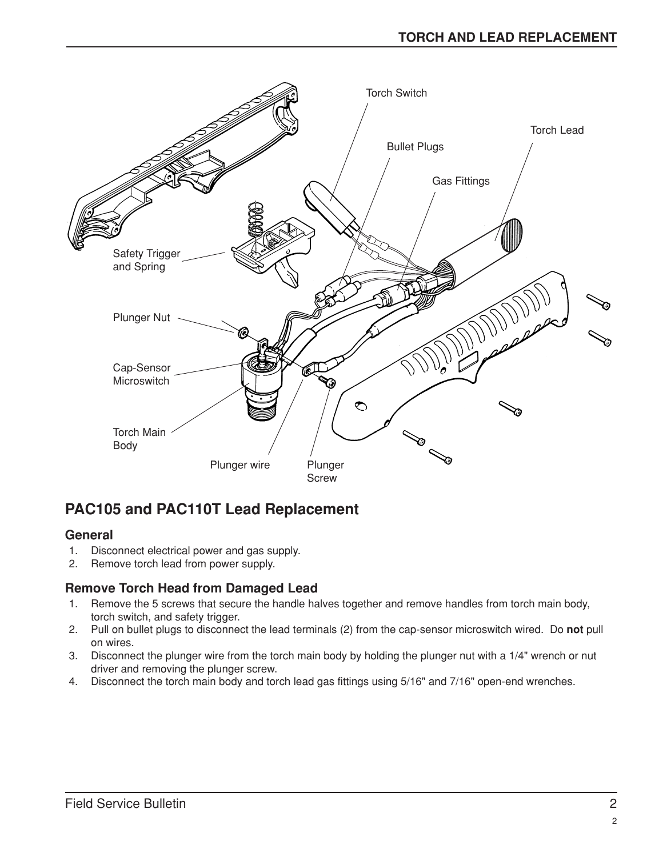

# **PAC105 and PAC110T Lead Replacement**

# **General**

- 1. Disconnect electrical power and gas supply.
- 2. Remove torch lead from power supply.

# **Remove Torch Head from Damaged Lead**

- 1. Remove the 5 screws that secure the handle halves together and remove handles from torch main body, torch switch, and safety trigger.
- 2. Pull on bullet plugs to disconnect the lead terminals (2) from the cap-sensor microswitch wired. Do **not** pull on wires.
- 3. Disconnect the plunger wire from the torch main body by holding the plunger nut with a 1/4" wrench or nut driver and removing the plunger screw.
- 4. Disconnect the torch main body and torch lead gas fittings using 5/16" and 7/16" open-end wrenches.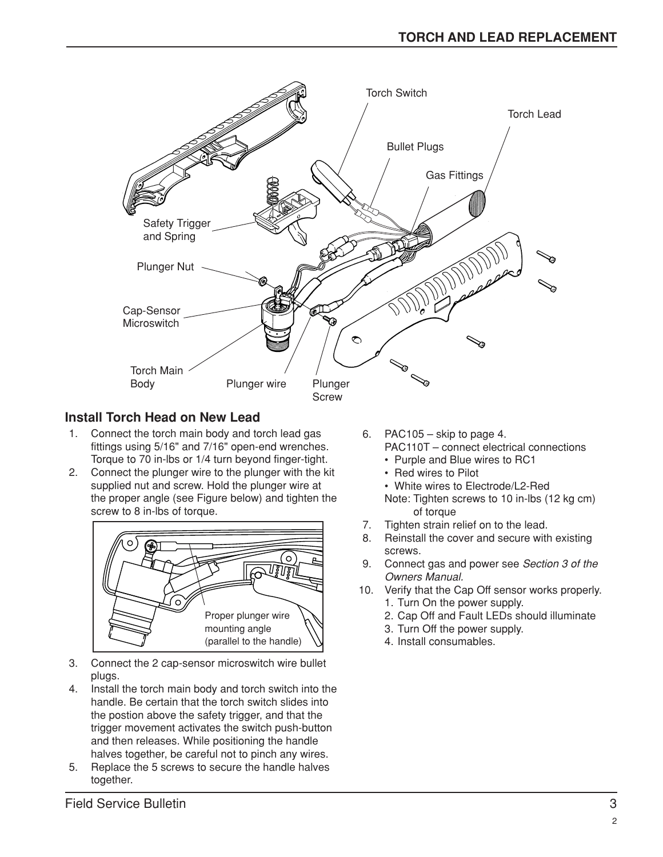

# **Install Torch Head on New Lead**

- 1. Connect the torch main body and torch lead gas fittings using 5/16" and 7/16" open-end wrenches. Torque to 70 in-lbs or 1/4 turn beyond finger-tight.
- 2. Connect the plunger wire to the plunger with the kit supplied nut and screw. Hold the plunger wire at the proper angle (see Figure below) and tighten the screw to 8 in-lbs of torque.



- 3. Connect the 2 cap-sensor microswitch wire bullet plugs.
- 4. Install the torch main body and torch switch into the handle. Be certain that the torch switch slides into the postion above the safety trigger, and that the trigger movement activates the switch push-button and then releases. While positioning the handle halves together, be careful not to pinch any wires.
- 5. Replace the 5 screws to secure the handle halves together.
- 6. PAC105 skip to page 4. PAC110T – connect electrical connections • Purple and Blue wires to RC1
	- Red wires to Pilot
	- White wires to Electrode/L2-Red
	- Note: Tighten screws to 10 in-lbs (12 kg cm) of torque
- 7. Tighten strain relief on to the lead.
- 8. Reinstall the cover and secure with existing screws.
- 9. Connect gas and power see *Section 3 of the Owners Manual.*
- 10. Verify that the Cap Off sensor works properly. 1. Turn On the power supply.
	- 2. Cap Off and Fault LEDs should illuminate
	- 3. Turn Off the power supply.
	- 4. Install consumables.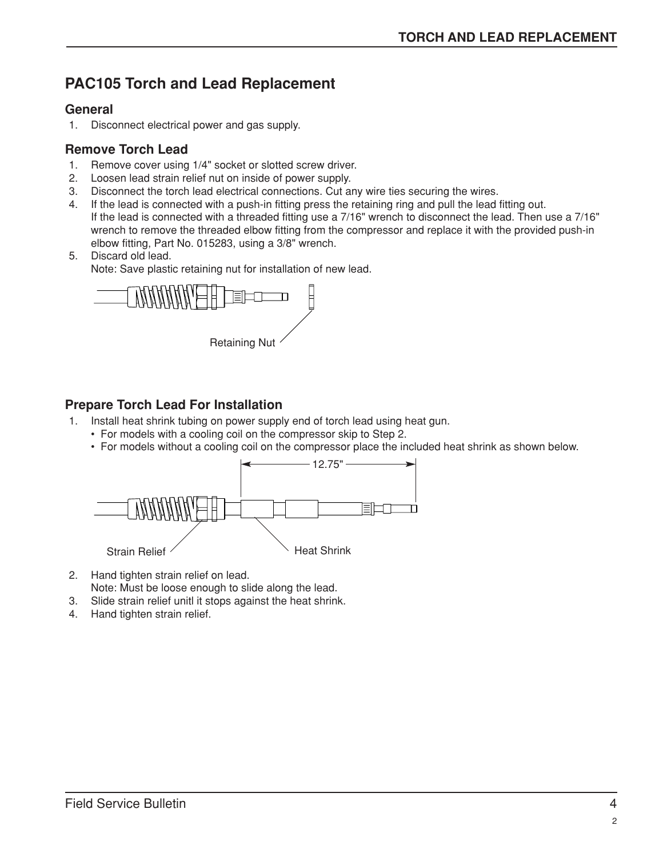# **PAC105 Torch and Lead Replacement**

#### **General**

1. Disconnect electrical power and gas supply.

# **Remove Torch Lead**

- 1. Remove cover using 1/4" socket or slotted screw driver.
- 2. Loosen lead strain relief nut on inside of power supply.
- 3. Disconnect the torch lead electrical connections. Cut any wire ties securing the wires.
- 4. If the lead is connected with a push-in fitting press the retaining ring and pull the lead fitting out. If the lead is connected with a threaded fitting use a 7/16" wrench to disconnect the lead. Then use a 7/16" wrench to remove the threaded elbow fitting from the compressor and replace it with the provided push-in elbow fitting, Part No. 015283, using a 3/8" wrench.
- 5. Discard old lead.

Note: Save plastic retaining nut for installation of new lead.



# **Prepare Torch Lead For Installation**

- 1. Install heat shrink tubing on power supply end of torch lead using heat gun.
	- For models with a cooling coil on the compressor skip to Step 2.
	- For models without a cooling coil on the compressor place the included heat shrink as shown below.



- 2. Hand tighten strain relief on lead.
- Note: Must be loose enough to slide along the lead.
- 3. Slide strain relief unitl it stops against the heat shrink.
- 4. Hand tighten strain relief.